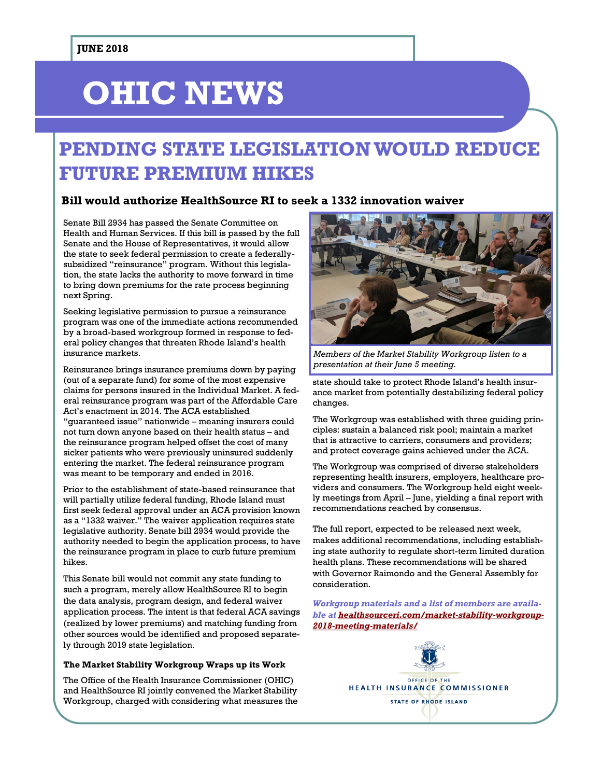# **OHIC NEWS**

# **PENDING STATE LEGISLATION WOULD REDUCE FUTURE PREMIUM HIKES**

#### **Bill would authorize HealthSource RI to seek a 1332 innovation waiver**

Senate Bill 2934 has passed the Senate Committee on Health and Human Services. If this bill is passed by the full Senate and the House of Representatives, it would allow the state to seek federal permission to create a federallysubsidized "reinsurance" program. Without this legislation, the state lacks the authority to move forward in time to bring down premiums for the rate process beginning next Spring.

Seeking legislative permission to pursue a reinsurance program was one of the immediate actions recommended by a broad-based workgroup formed in response to federal policy changes that threaten Rhode Island's health insurance markets.

Reinsurance brings insurance premiums down by paying (out of a separate fund) for some of the most expensive claims for persons insured in the Individual Market. A federal reinsurance program was part of the Affordable Care Act's enactment in 2014. The ACA established "guaranteed issue" nationwide – meaning insurers could not turn down anyone based on their health status – and the reinsurance program helped offset the cost of many sicker patients who were previously uninsured suddenly entering the market. The federal reinsurance program was meant to be temporary and ended in 2016.

Prior to the establishment of state-based reinsurance that will partially utilize federal funding, Rhode Island must first seek federal approval under an ACA provision known as a "1332 waiver." The waiver application requires state legislative authority. Senate bill 2934 would provide the authority needed to begin the application process, to have the reinsurance program in place to curb future premium hikes.

This Senate bill would not commit any state funding to such a program, merely allow HealthSource RI to begin the data analysis, program design, and federal waiver application process. The intent is that federal ACA savings (realized by lower premiums) and matching funding from other sources would be identified and proposed separately through 2019 state legislation.

#### **The Market Stability Workgroup Wraps up its Work**

The Office of the Health Insurance Commissioner (OHIC) and HealthSource RI jointly convened the Market Stability Workgroup, charged with considering what measures the



*Members of the Market Stability Workgroup listen to a presentation at their June 5 meeting.* 

state should take to protect Rhode Island's health insurance market from potentially destabilizing federal policy changes.

The Workgroup was established with three guiding principles: sustain a balanced risk pool; maintain a market that is attractive to carriers, consumers and providers; and protect coverage gains achieved under the ACA.

The Workgroup was comprised of diverse stakeholders representing health insurers, employers, healthcare providers and consumers. The Workgroup held eight weekly meetings from April – June, yielding a final report with recommendations reached by consensus.

The full report, expected to be released next week, makes additional recommendations, including establishing state authority to regulate short-term limited duration health plans. These recommendations will be shared with Governor Raimondo and the General Assembly for consideration.

*Workgroup materials and a list of members are available at [healthsourceri.com/market-stability-workgroup-](https://healthsourceri.com/market-stability-workgroup-2018-meeting-materials/)[2018-meeting-materials/](https://healthsourceri.com/market-stability-workgroup-2018-meeting-materials/)*